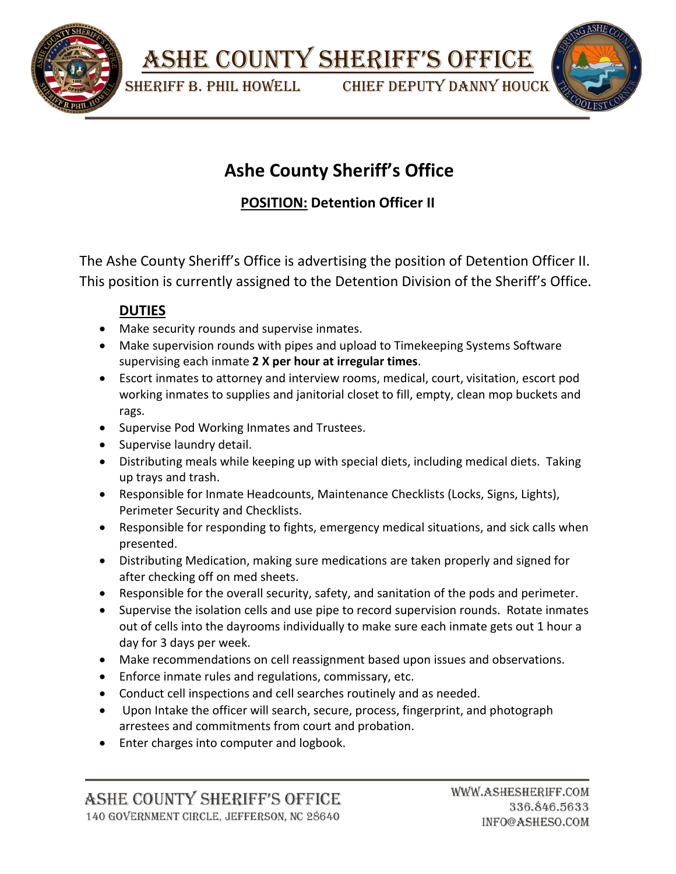

ASHE COUNTY SHERIFF'S OFFICE

SHERIFF B. PHIL HOWELL CHIEF DEPUTY DANNY HOUCK



# **Ashe County Sheriff's Office**

# **POSITION: Detention Officer II**

The Ashe County Sheriff's Office is advertising the position of Detention Officer II. This position is currently assigned to the Detention Division of the Sheriff's Office.

## **DUTIES**

- Make security rounds and supervise inmates.
- Make supervision rounds with pipes and upload to Timekeeping Systems Software supervising each inmate **2 X per hour at irregular times**.
- Escort inmates to attorney and interview rooms, medical, court, visitation, escort pod working inmates to supplies and janitorial closet to fill, empty, clean mop buckets and rags.
- Supervise Pod Working Inmates and Trustees.
- Supervise laundry detail.
- Distributing meals while keeping up with special diets, including medical diets. Taking up trays and trash.
- Responsible for Inmate Headcounts, Maintenance Checklists (Locks, Signs, Lights), Perimeter Security and Checklists.
- Responsible for responding to fights, emergency medical situations, and sick calls when presented.
- Distributing Medication, making sure medications are taken properly and signed for after checking off on med sheets.
- Responsible for the overall security, safety, and sanitation of the pods and perimeter.
- Supervise the isolation cells and use pipe to record supervision rounds. Rotate inmates out of cells into the dayrooms individually to make sure each inmate gets out 1 hour a day for 3 days per week.
- Make recommendations on cell reassignment based upon issues and observations.
- Enforce inmate rules and regulations, commissary, etc.
- Conduct cell inspections and cell searches routinely and as needed.
- Upon Intake the officer will search, secure, process, fingerprint, and photograph arrestees and commitments from court and probation.
- Enter charges into computer and logbook.